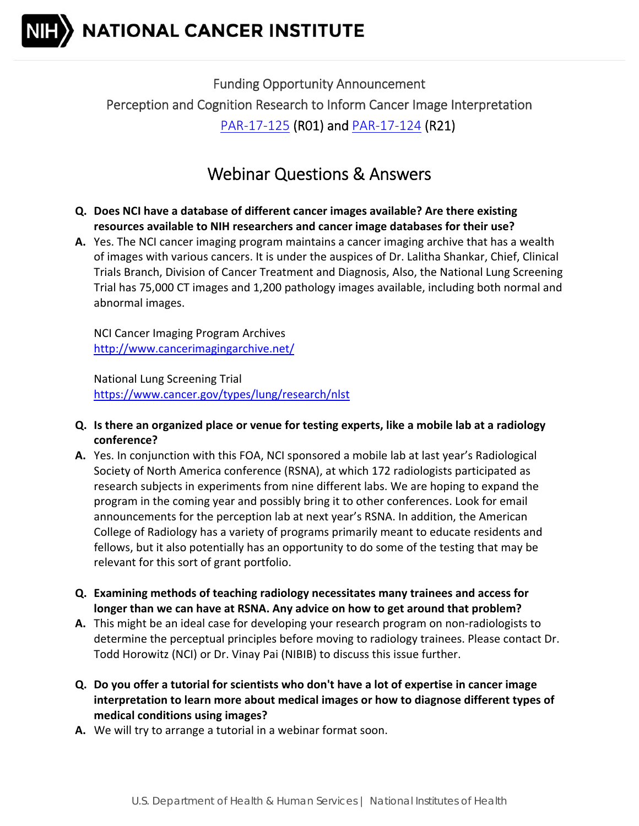

 Funding Opportunity Announcement Perception and Cognition Research to Inform Cancer Image Interpretation PAR-17-125 (R01) and **PAR-17-124** (R21)

## Webinar Questions & Answers

- **Q. Does NCI have a database of different cancer images available? Are there existing resources available to NIH researchers and cancer image databases for their use?**
- **A.** Yes. The NCI cancer imaging program maintains a cancer imaging archive that has a wealth of images with various cancers. It is under the auspices of Dr. Lalitha Shankar, Chief, Clinical Trials Branch, Division of Cancer Treatment and Diagnosis, Also, the National Lung Screening Trial has 75,000 CT images and 1,200 pathology images available, including both normal and abnormal images.

 NCI Cancer Imaging Program Archives http://www.cancerimagingarchive.net/

 National Lung Screening Trial https://www.cancer.gov/types/lung/research/nlst

- Q. Is there an organized place or venue for testing experts, like a mobile lab at a radiology  **conference?**
- **A.** Yes. In conjunction with this FOA, NCI sponsored a mobile lab at last year's Radiological Society of North America conference (RSNA), at which 172 radiologists participated as research subjects in experiments from nine different labs. We are hoping to expand the program in the coming year and possibly bring it to other conferences. Look for email announcements for the perception lab at next year's RSNA. In addition, the American College of Radiology has a variety of programs primarily meant to educate residents and fellows, but it also potentially has an opportunity to do some of the testing that may be relevant for this sort of grant portfolio.
- **Q. Examining methods of teaching radiology necessitates many trainees and access for** longer than we can have at RSNA. Any advice on how to get around that problem?
- A. This might be an ideal case for developing your research program on non-radiologists to determine the perceptual principles before moving to radiology trainees. Please contact Dr. Todd Horowitz (NCI) or Dr. Vinay Pai (NIBIB) to discuss this issue further.
- Q. Do you offer a tutorial for scientists who don't have a lot of expertise in cancer image  **interpretation to learn more about medical images or how to diagnose different types of medical conditions using images?**
- **A.** We will try to arrange a tutorial in a webinar format soon.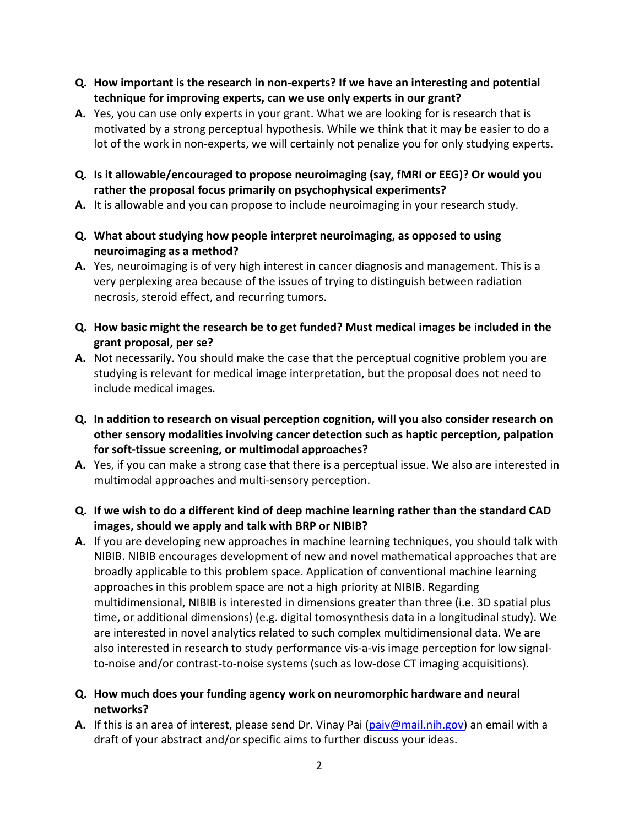- Q. How important is the research in non-experts? If we have an interesting and potential  **technique for improving experts, can we use only experts in our grant?**
- **A.** Yes, you can use only experts in your grant. What we are looking for is research that is motivated by a strong perceptual hypothesis. While we think that it may be easier to do a lot of the work in non‐experts, we will certainly not penalize you for only studying experts.
- Q. Is it allowable/encouraged to propose neuroimaging (say, fMRI or EEG)? Or would you  **rather the proposal focus primarily on psychophysical experiments?**
- A. It is allowable and you can propose to include neuroimaging in your research study.
- **Q. What about studying how people interpret neuroimaging, as opposed to using neuroimaging as a method?**
- **A.** Yes, neuroimaging is of very high interest in cancer diagnosis and management. This is a very perplexing area because of the issues of trying to distinguish between radiation necrosis, steroid effect, and recurring tumors.
- Q. How basic might the research be to get funded? Must medical images be included in the  **grant proposal, per se?**
- A. Not necessarily. You should make the case that the perceptual cognitive problem you are studying is relevant for medical image interpretation, but the proposal does not need to include medical images.
- Q. In addition to research on visual perception cognition, will you also consider research on  **other sensory modalities involving cancer detection such as haptic perception, palpation for soft‐tissue screening, or multimodal approaches?**
- **A.** Yes, if you can make a strong case that there is a perceptual issue. We also are interested in multimodal approaches and multi‐sensory perception.
- Q. If we wish to do a different kind of deep machine learning rather than the standard CAD  **images, should we apply and talk with BRP or NIBIB?**
- **A.** If you are developing new approaches in machine learning techniques, you should talk with NIBIB. NIBIB encourages development of new and novel mathematical approaches that are broadly applicable to this problem space. Application of conventional machine learning approaches in this problem space are not a high priority at NIBIB. Regarding multidimensional, NIBIB is interested in dimensions greater than three (i.e. 3D spatial plus time, or additional dimensions) (e.g. digital tomosynthesis data in a longitudinal study). We are interested in novel analytics related to such complex multidimensional data. We are also interested in research to study performance vis‐a‐vis image perception for low signal‐ to‐noise and/or contrast‐to‐noise systems (such as low‐dose CT imaging acquisitions).
- **Q. How much does your funding agency work on neuromorphic hardware and neural networks?**
- **A.** If this is an area of interest, please send Dr. Vinay Pai (**paiv@mail.nih.gov**) an email with a draft of your abstract and/or specific aims to further discuss your ideas.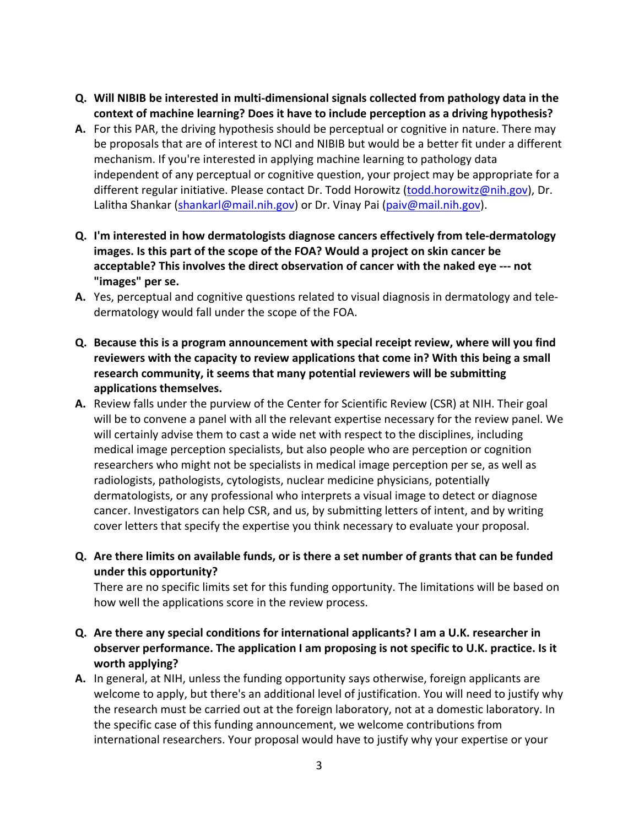- Q. Will NIBIB be interested in multi-dimensional signals collected from pathology data in the  **context of machine learning? Does it have to include perception as a driving hypothesis?**
- A. For this PAR, the driving hypothesis should be perceptual or cognitive in nature. There may be proposals that are of interest to NCI and NIBIB but would be a better fit under a different mechanism. If you're interested in applying machine learning to pathology data independent of any perceptual or cognitive question, your project may be appropriate for a different regular initiative. Please contact Dr. Todd Horowitz (todd.horowitz@nih.gov), Dr. Lalitha Shankar (<u>shankarl@mail.nih.gov</u>) or Dr. Vinay Pai (<u>paiv@mail.nih.gov</u>).
- **Q. I'm interested in how dermatologists diagnose cancers effectively from tele‐dermatology** images. Is this part of the scope of the FOA? Would a project on skin cancer be  **acceptable? This involves the direct observation of cancer with the naked eye ‐‐‐ not "images" per se.**
- **A.** Yes, perceptual and cognitive questions related to visual diagnosis in dermatology and tele-dermatology would fall under the scope of the FOA.
- Q. Because this is a program announcement with special receipt review, where will you find reviewers with the capacity to review applications that come in? With this being a small  **research community, it seems that many potential reviewers will be submitting applications themselves.**
- A. Review falls under the purview of the Center for Scientific Review (CSR) at NIH. Their goal will be to convene a panel with all the relevant expertise necessary for the review panel. We will certainly advise them to cast a wide net with respect to the disciplines, including medical image perception specialists, but also people who are perception or cognition researchers who might not be specialists in medical image perception per se, as well as radiologists, pathologists, cytologists, nuclear medicine physicians, potentially dermatologists, or any professional who interprets a visual image to detect or diagnose cancer. Investigators can help CSR, and us, by submitting letters of intent, and by writing cover letters that specify the expertise you think necessary to evaluate your proposal.
- Q. Are there limits on available funds, or is there a set number of grants that can be funded  **under this opportunity?**

 There are no specific limits set for this funding opportunity. The limitations will be based on how well the applications score in the review process.

- Q. Are there any special conditions for international applicants? I am a U.K. researcher in observer performance. The application I am proposing is not specific to U.K. practice. Is it  **worth applying?**
- A. In general, at NIH, unless the funding opportunity says otherwise, foreign applicants are welcome to apply, but there's an additional level of justification. You will need to justify why the research must be carried out at the foreign laboratory, not at a domestic laboratory. In the specific case of this funding announcement, we welcome contributions from international researchers. Your proposal would have to justify why your expertise or your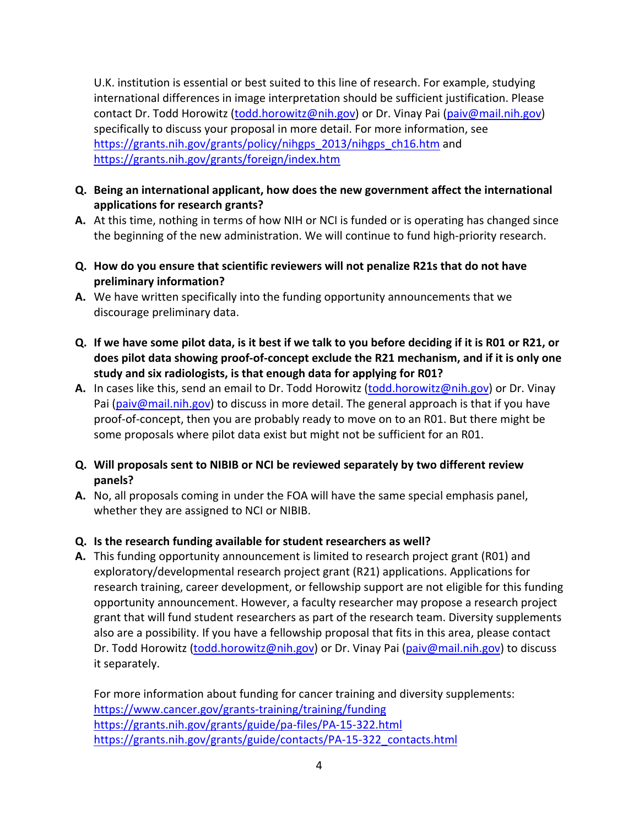U.K. institution is essential or best suited to this line of research. For example, studying international differences in image interpretation should be sufficient justification. Please contact Dr. Todd Horowitz (<u>todd.horowitz@nih.gov</u>) or Dr. Vinay Pai (<u>paiv@mail.nih.gov</u>) specifically to discuss your proposal in more detail. For more information, see https://grants.nih.gov/grants/policy/nihgps\_2013/nihgps\_ch16.htm and https://grants.nih.gov/grants/foreign/index.htm

- **Q. Being an international applicant, how does the new government affect the international applications for research grants?**
- A. At this time, nothing in terms of how NIH or NCI is funded or is operating has changed since the beginning of the new administration. We will continue to fund high‐priority research.
- Q. How do you ensure that scientific reviewers will not penalize R21s that do not have **preliminary information?**
- **A.** We have written specifically into the funding opportunity announcements that we discourage preliminary data.
- Q. If we have some pilot data, is it best if we talk to you before deciding if it is R01 or R21, or does pilot data showing proof-of-concept exclude the R21 mechanism, and if it is only one  **study and six radiologists, is that enough data for applying for R01?**
- **A.** In cases like this, send an email to Dr. Todd Horowitz (todd.horowitz@nih.gov) or Dr. Vinay Pai (paiv@mail.nih.gov) to discuss in more detail. The general approach is that if you have proof‐of‐concept, then you are probably ready to move on to an R01. But there might be some proposals where pilot data exist but might not be sufficient for an R01.
- Q. Will proposals sent to NIBIB or NCI be reviewed separately by two different review **panels?**
- **A.** No, all proposals coming in under the FOA will have the same special emphasis panel, whether they are assigned to NCI or NIBIB.

## **Q. Is the research funding available for student researchers as well?**

 **A.** This funding opportunity announcement is limited to research project grant (R01) and exploratory/developmental research project grant (R21) applications. Applications for research training, career development, or fellowship support are not eligible for this funding opportunity announcement. However, a faculty researcher may propose a research project grant that will fund student researchers as part of the research team. Diversity supplements also are a possibility. If you have a fellowship proposal that fits in this area, please contact Dr. Todd Horowitz (todd.horowitz@nih.gov) or Dr. Vinay Pai (paiv@mail.nih.gov) to discuss it separately.

 For more information about funding for cancer training and diversity supplements: https://www.cancer.gov/grants‐training/training/funding https://grants.nih.gov/grants/guide/pa‐files/PA‐15‐322.html https://grants.nih.gov/grants/guide/contacts/PA‐15‐322\_contacts.html